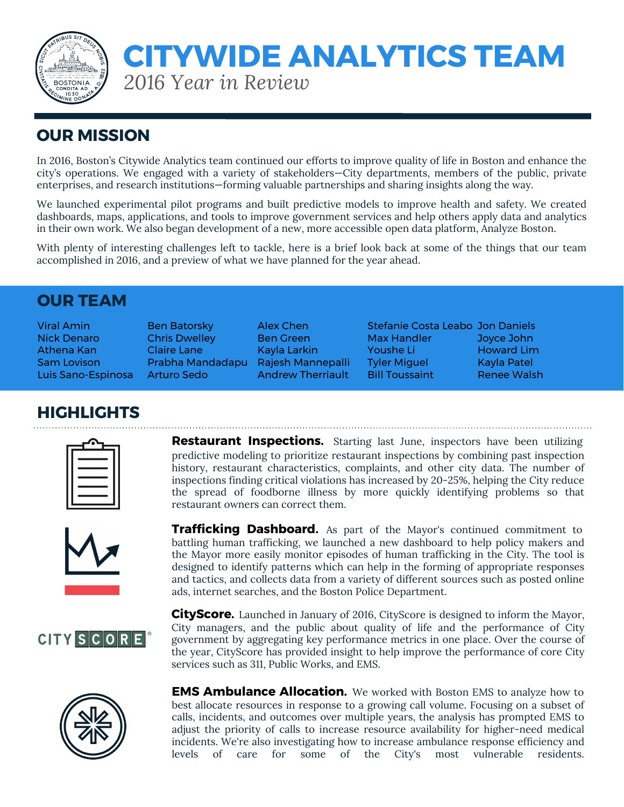

# *2016 Year in Review* **CITYWIDE ANALYTICS TEAM**

## **OUR MISSION**

In 2016, Boston's Citywide Analytics team continued our efforts to improve quality of life in Boston and enhance the city's operations. We engaged with a variety of stakeholders—City departments, members of the public, private enterprises, and research institutions—forming valuable partnerships and sharing insights along the way.

We launched experimental pilot programs and built predictive models to improve health and safety. We created dashboards, maps, applications, and tools to improve government services and help others apply data and analytics in their own work. We also began development of a new, more accessible open data platform, Analyze Boston.

With plenty of interesting challenges left to tackle, here is a brief look back at some of the things that our team accomplished in 2016, and a preview of what we have planned for the year ahead.

#### **OUR TEAM**

ads, internet searches, and the Boston Police Department.

Viral Amin **Ben Batorsky** Alex Chen Stefanie Costa Leabo Jon Daniels Nick Denaro Chris Dwelley Ben Green Max Handler Joyce John Athena Kan Claire Lane Kayla Larkin Youshe Li Howard Lim Sam Lovison Prabha Mandadapu Rajesh Mannepalli Tyler Miguel Kayla Patel Luis Sano-Espinosa Arturo Sedo Andrew Therriault Bill Toussaint Renee Walsh

### **HIGHLIGHTS**

**Restaurant Inspections.** Starting last June, inspectors have been utilizing predictive modeling to prioritize restaurant inspections by combining past inspection history, restaurant characteristics, complaints, and other city data. The number of inspections finding critical violations has increased by 20-25%, helping the City reduce the spread of foodborne illness by more quickly identifying problems so that restaurant owners can correct them.



**Trafficking Dashboard.** As part of the Mayor's continued commitment to battling human trafficking, we launched a new dashboard to help policy makers and the Mayor more easily monitor episodes of human trafficking in the City. The tool is designed to identify patterns which can help in the forming of appropriate responses and tactics, and collects data from a variety of different sources such as posted online

**CITY SCORE** 



**CityScore.** Launched in January of 2016, CityScore is designed to inform the Mayor, City managers, and the public about quality of life and the performance of City government by aggregating key performance metrics in one place. Over the course of the year, CityScore has provided insight to help improve the performance of core City services such as 311, Public Works, and EMS.

**EMS Ambulance Allocation.** We worked with Boston EMS to analyze how to best allocate resources in response to a growing call volume. Focusing on a subset of calls, incidents, and outcomes over multiple years, the analysis has prompted EMS to adjust the priority of calls to increase resource availability for higher-need medical incidents. We're also investigating how to increase ambulance response efficiency and levels of care for some of the City's most vulnerable residents.